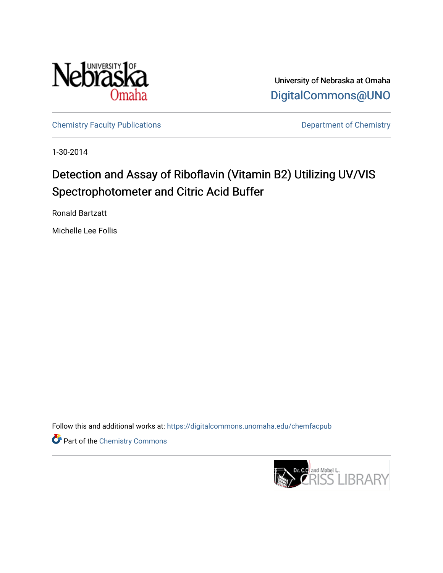

University of Nebraska at Omaha [DigitalCommons@UNO](https://digitalcommons.unomaha.edu/) 

[Chemistry Faculty Publications](https://digitalcommons.unomaha.edu/chemfacpub) **Department of Chemistry** 

1-30-2014

## Detection and Assay of Riboflavin (Vitamin B2) Utilizing UV/VIS Spectrophotometer and Citric Acid Buffer

Ronald Bartzatt

Michelle Lee Follis

Follow this and additional works at: [https://digitalcommons.unomaha.edu/chemfacpub](https://digitalcommons.unomaha.edu/chemfacpub?utm_source=digitalcommons.unomaha.edu%2Fchemfacpub%2F62&utm_medium=PDF&utm_campaign=PDFCoverPages) 

Part of the [Chemistry Commons](http://network.bepress.com/hgg/discipline/131?utm_source=digitalcommons.unomaha.edu%2Fchemfacpub%2F62&utm_medium=PDF&utm_campaign=PDFCoverPages) 

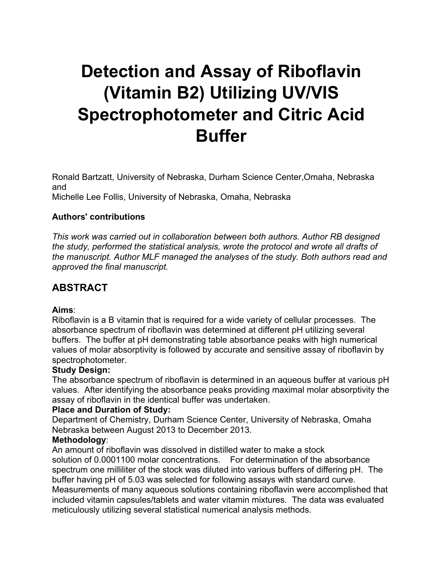# **Detection and Assay of Riboflavin (Vitamin B2) Utilizing UV/VIS Spectrophotometer and Citric Acid Buffer**

Ronald Bartzatt, University of Nebraska, Durham Science Center,Omaha, Nebraska and Michelle Lee Follis, University of Nebraska, Omaha, Nebraska

#### **Authors' contributions**

*This work was carried out in collaboration between both authors. Author RB designed the study, performed the statistical analysis, wrote the protocol and wrote all drafts of the manuscript. Author MLF managed the analyses of the study. Both authors read and approved the final manuscript.*

## **ABSTRACT**

#### **Aims**:

Riboflavin is a B vitamin that is required for a wide variety of cellular processes. The absorbance spectrum of riboflavin was determined at different pH utilizing several buffers. The buffer at pH demonstrating table absorbance peaks with high numerical values of molar absorptivity is followed by accurate and sensitive assay of riboflavin by spectrophotometer.

#### **Study Design:**

The absorbance spectrum of riboflavin is determined in an aqueous buffer at various pH values. After identifying the absorbance peaks providing maximal molar absorptivity the assay of riboflavin in the identical buffer was undertaken.

#### **Place and Duration of Study:**

Department of Chemistry, Durham Science Center, University of Nebraska, Omaha Nebraska between August 2013 to December 2013.

#### **Methodology**:

An amount of riboflavin was dissolved in distilled water to make a stock solution of 0.0001100 molar concentrations. For determination of the absorbance spectrum one milliliter of the stock was diluted into various buffers of differing pH. The buffer having pH of 5.03 was selected for following assays with standard curve. Measurements of many aqueous solutions containing riboflavin were accomplished that included vitamin capsules/tablets and water vitamin mixtures. The data was evaluated meticulously utilizing several statistical numerical analysis methods.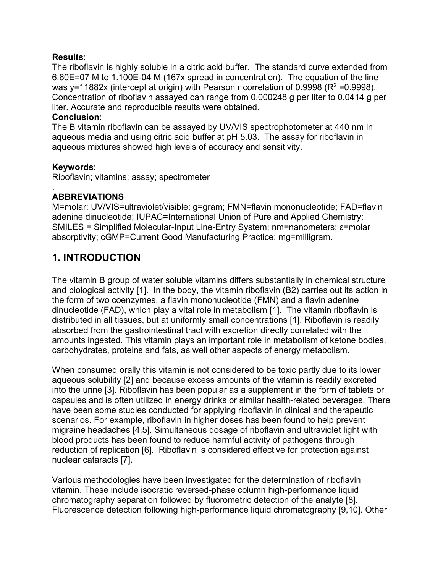#### **Results**:

The riboflavin is highly soluble in a citric acid buffer. The standard curve extended from 6.60E=07 M to 1.100E-04 M (167x spread in concentration). The equation of the line was y=11882x (intercept at origin) with Pearson r correlation of 0.9998 ( $R^2$  =0.9998). Concentration of riboflavin assayed can range from 0.000248 g per liter to 0.0414 g per liter. Accurate and reproducible results were obtained.

#### **Conclusion**:

The B vitamin riboflavin can be assayed by UV/VIS spectrophotometer at 440 nm in aqueous media and using citric acid buffer at pH 5.03. The assay for riboflavin in aqueous mixtures showed high levels of accuracy and sensitivity.

#### **Keywords**:

Riboflavin; vitamins; assay; spectrometer

#### . **ABBREVIATIONS**

M=molar; UV/VIS=ultraviolet/visible; g=gram; FMN=flavin mononucleotide; FAD=flavin adenine dinucleotide; IUPAC=International Union of Pure and Applied Chemistry; SMILES = Simplified Molecular-Input Line-Entry System; nm=nanometers; ε=molar absorptivity; cGMP=Current Good Manufacturing Practice; mg=milligram.

## **1. INTRODUCTION**

The vitamin B group of water soluble vitamins differs substantially in chemical structure and biological activity [1]. In the body, the vitamin riboflavin (B2) carries out its action in the form of two coenzymes, a flavin mononucleotide (FMN) and a flavin adenine dinucleotide (FAD), which play a vital role in metabolism [1]. The vitamin riboflavin is distributed in all tissues, but at uniformly small concentrations [1]. Riboflavin is readily absorbed from the gastrointestinal tract with excretion directly correlated with the amounts ingested. This vitamin plays an important role in metabolism of ketone bodies, carbohydrates, proteins and fats, as well other aspects of energy metabolism.

When consumed orally this vitamin is not considered to be toxic partly due to its lower aqueous solubility [2] and because excess amounts of the vitamin is readily excreted into the urine [3]. Riboflavin has been popular as a supplement in the form of tablets or capsules and is often utilized in energy drinks or similar health-related beverages. There have been some studies conducted for applying riboflavin in clinical and therapeutic scenarios. For example, riboflavin in higher doses has been found to help prevent migraine headaches [4,5]. Simultaneous dosage of riboflavin and ultraviolet light with blood products has been found to reduce harmful activity of pathogens through reduction of replication [6]. Riboflavin is considered effective for protection against nuclear cataracts [7].

Various methodologies have been investigated for the determination of riboflavin vitamin. These include isocratic reversed-phase column high-performance liquid chromatography separation followed by fluorometric detection of the analyte [8]. Fluorescence detection following high-performance liquid chromatography [9,10]. Other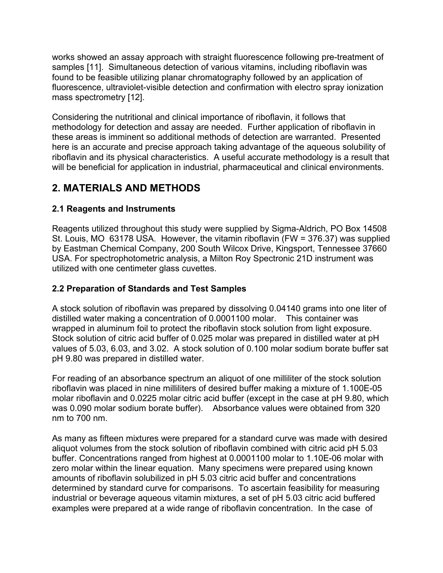works showed an assay approach with straight fluorescence following pre-treatment of samples [11]. Simultaneous detection of various vitamins, including riboflavin was found to be feasible utilizing planar chromatography followed by an application of fluorescence, ultraviolet-visible detection and confirmation with electro spray ionization mass spectrometry [12].

Considering the nutritional and clinical importance of riboflavin, it follows that methodology for detection and assay are needed. Further application of riboflavin in these areas is imminent so additional methods of detection are warranted. Presented here is an accurate and precise approach taking advantage of the aqueous solubility of riboflavin and its physical characteristics. A useful accurate methodology is a result that will be beneficial for application in industrial, pharmaceutical and clinical environments.

## **2. MATERIALS AND METHODS**

## **2.1 Reagents and Instruments**

Reagents utilized throughout this study were supplied by Sigma-Aldrich, PO Box 14508 St. Louis, MO 63178 USA. However, the vitamin riboflavin (FW = 376.37) was supplied by Eastman Chemical Company, 200 South Wilcox Drive, Kingsport, Tennessee 37660 USA. For spectrophotometric analysis, a Milton Roy Spectronic 21D instrument was utilized with one centimeter glass cuvettes.

### **2.2 Preparation of Standards and Test Samples**

A stock solution of riboflavin was prepared by dissolving 0.04140 grams into one liter of distilled water making a concentration of 0.0001100 molar. This container was wrapped in aluminum foil to protect the riboflavin stock solution from light exposure. Stock solution of citric acid buffer of 0.025 molar was prepared in distilled water at pH values of 5.03, 6.03, and 3.02. A stock solution of 0.100 molar sodium borate buffer sat pH 9.80 was prepared in distilled water.

For reading of an absorbance spectrum an aliquot of one milliliter of the stock solution riboflavin was placed in nine milliliters of desired buffer making a mixture of 1.100E-05 molar riboflavin and 0.0225 molar citric acid buffer (except in the case at pH 9.80, which was 0.090 molar sodium borate buffer). Absorbance values were obtained from 320 nm to 700 nm.

As many as fifteen mixtures were prepared for a standard curve was made with desired aliquot volumes from the stock solution of riboflavin combined with citric acid pH 5.03 buffer. Concentrations ranged from highest at 0.0001100 molar to 1.10E-06 molar with zero molar within the linear equation. Many specimens were prepared using known amounts of riboflavin solubilized in pH 5.03 citric acid buffer and concentrations determined by standard curve for comparisons. To ascertain feasibility for measuring industrial or beverage aqueous vitamin mixtures, a set of pH 5.03 citric acid buffered examples were prepared at a wide range of riboflavin concentration. In the case of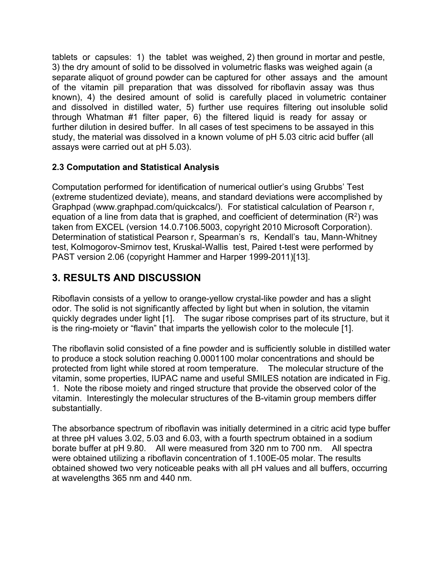tablets or capsules: 1) the tablet was weighed, 2) then ground in mortar and pestle, 3) the dry amount of solid to be dissolved in volumetric flasks was weighed again (a separate aliquot of ground powder can be captured for other assays and the amount of the vitamin pill preparation that was dissolved for riboflavin assay was thus known), 4) the desired amount of solid is carefully placed in volumetric container and dissolved in distilled water, 5) further use requires filtering out insoluble solid through Whatman #1 filter paper, 6) the filtered liquid is ready for assay or further dilution in desired buffer. In all cases of test specimens to be assayed in this study, the material was dissolved in a known volume of pH 5.03 citric acid buffer (all assays were carried out at pH 5.03).

#### **2.3 Computation and Statistical Analysis**

Computation performed for identification of numerical outlier's using Grubbs' Test (extreme studentized deviate), means, and standard deviations were accomplished by Graphpad (www.graphpad.com/quickcalcs/). For statistical calculation of Pearson r, equation of a line from data that is graphed, and coefficient of determination  $(R<sup>2</sup>)$  was taken from EXCEL (version 14.0.7106.5003, copyright 2010 Microsoft Corporation). Determination of statistical Pearson r, Spearman's rs, Kendall's tau, Mann-Whitney test, Kolmogorov-Smirnov test, Kruskal-Wallis test, Paired t-test were performed by PAST version 2.06 (copyright Hammer and Harper 1999-2011)[13].

## **3. RESULTS AND DISCUSSION**

Riboflavin consists of a yellow to orange-yellow crystal-like powder and has a slight odor. The solid is not significantly affected by light but when in solution, the vitamin quickly degrades under light [1]. The sugar ribose comprises part of its structure, but it is the ring-moiety or "flavin" that imparts the yellowish color to the molecule [1].

The riboflavin solid consisted of a fine powder and is sufficiently soluble in distilled water to produce a stock solution reaching 0.0001100 molar concentrations and should be protected from light while stored at room temperature. The molecular structure of the vitamin, some properties, IUPAC name and useful SMILES notation are indicated in Fig. 1. Note the ribose moiety and ringed structure that provide the observed color of the vitamin. Interestingly the molecular structures of the B-vitamin group members differ substantially.

The absorbance spectrum of riboflavin was initially determined in a citric acid type buffer at three pH values 3.02, 5.03 and 6.03, with a fourth spectrum obtained in a sodium borate buffer at pH 9.80. All were measured from 320 nm to 700 nm. All spectra were obtained utilizing a riboflavin concentration of 1.100E-05 molar. The results obtained showed two very noticeable peaks with all pH values and all buffers, occurring at wavelengths 365 nm and 440 nm.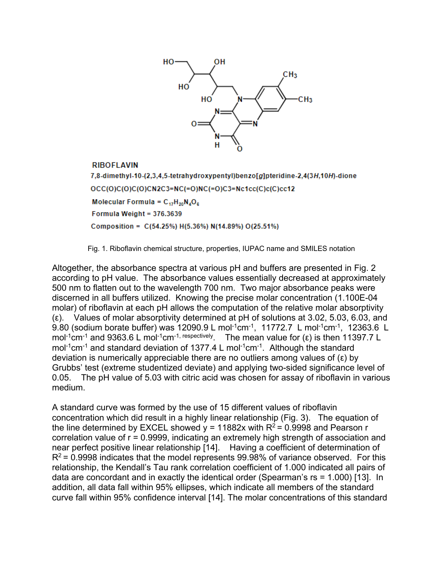

#### **RIBOFLAVIN**

7,8-dimethyl-10-(2,3,4,5-tetrahydroxypentyl)benzo[g]pteridine-2,4(3H,10H)-dione  $OCC(O)C(O)C(O)CN2C3=NC(=O)NC(=O)C3=Nc1cc(C)c(C)cc12$ Molecular Formula =  $C_{17}H_{20}N_4O_6$ Formula Weight = 376.3639 Composition =  $C(54.25%) H(5.36%) N(14.89%) O(25.51%)$ 

Fig. 1. Riboflavin chemical structure, properties, IUPAC name and SMILES notation

Altogether, the absorbance spectra at various pH and buffers are presented in Fig. 2 according to pH value. The absorbance values essentially decreased at approximately 500 nm to flatten out to the wavelength 700 nm. Two major absorbance peaks were discerned in all buffers utilized. Knowing the precise molar concentration (1.100E-04 molar) of riboflavin at each pH allows the computation of the relative molar absorptivity (ε). Values of molar absorptivity determined at pH of solutions at 3.02, 5.03, 6.03, and 9.80 (sodium borate buffer) was 12090.9 L mol<sup>-1</sup>cm<sup>-1</sup>, 11772.7 L mol<sup>-1</sup>cm<sup>-1</sup>, 12363.6 L mol<sup>-1</sup>cm<sup>-1</sup> and 9363.6 L mol<sup>-1</sup>cm<sup>-1, respectively</sup>. The mean value for (ε) is then 11397.7 L mol<sup>-1</sup>cm<sup>-1</sup> and standard deviation of 1377.4 L mol<sup>-1</sup>cm<sup>-1</sup>. Although the standard deviation is numerically appreciable there are no outliers among values of (ε) by Grubbs' test (extreme studentized deviate) and applying two-sided significance level of 0.05. The pH value of 5.03 with citric acid was chosen for assay of riboflavin in various medium.

A standard curve was formed by the use of 15 different values of riboflavin concentration which did result in a highly linear relationship (Fig. 3). The equation of the line determined by EXCEL showed  $y = 11882x$  with  $R^2 = 0.9998$  and Pearson r correlation value of r = 0.9999, indicating an extremely high strength of association and near perfect positive linear relationship [14]. Having a coefficient of determination of  $R^2$  = 0.9998 indicates that the model represents 99.98% of variance observed. For this relationship, the Kendall's Tau rank correlation coefficient of 1.000 indicated all pairs of data are concordant and in exactly the identical order (Spearman's rs = 1.000) [13]. In addition, all data fall within 95% ellipses, which indicate all members of the standard curve fall within 95% confidence interval [14]. The molar concentrations of this standard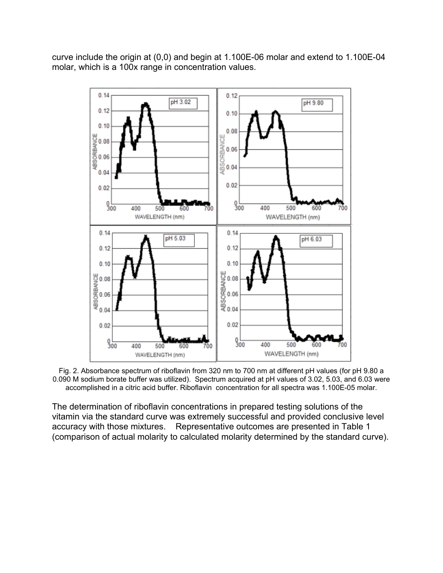curve include the origin at (0,0) and begin at 1.100E-06 molar and extend to 1.100E-04 molar, which is a 100x range in concentration values.



Fig. 2. Absorbance spectrum of riboflavin from 320 nm to 700 nm at different pH values (for pH 9.80 a 0.090 M sodium borate buffer was utilized). Spectrum acquired at pH values of 3.02, 5.03, and 6.03 were accomplished in a citric acid buffer. Riboflavin concentration for all spectra was 1.100E-05 molar.

The determination of riboflavin concentrations in prepared testing solutions of the vitamin via the standard curve was extremely successful and provided conclusive level accuracy with those mixtures. Representative outcomes are presented in Table 1 (comparison of actual molarity to calculated molarity determined by the standard curve).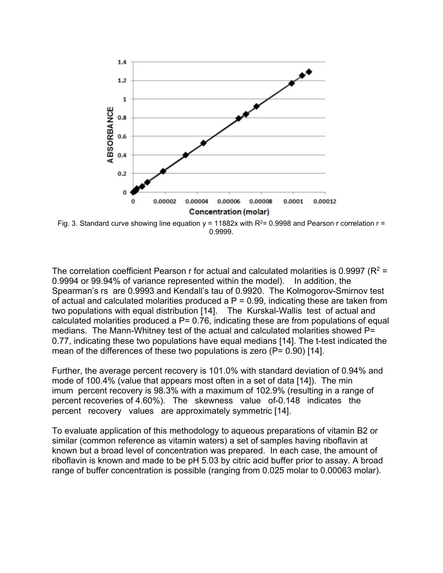

Fig. 3. Standard curve showing line equation  $y = 11882x$  with  $R^2 = 0.9998$  and Pearson r correlation r = 0.9999.

The correlation coefficient Pearson r for actual and calculated molarities is 0.9997 ( $R^2$  = 0.9994 or 99.94% of variance represented within the model). In addition, the Spearman's rs are 0.9993 and Kendall's tau of 0.9920. The Kolmogorov-Smirnov test of actual and calculated molarities produced a  $P = 0.99$ , indicating these are taken from two populations with equal distribution [14]. The Kurskal-Wallis test of actual and calculated molarities produced a  $P = 0.76$ , indicating these are from populations of equal medians. The Mann-Whitney test of the actual and calculated molarities showed P= 0.77, indicating these two populations have equal medians [14]. The t-test indicated the mean of the differences of these two populations is zero  $(P= 0.90)$  [14].

Further, the average percent recovery is 101.0% with standard deviation of 0.94% and mode of 100.4% (value that appears most often in a set of data [14]). The min imum percent recovery is 98.3% with a maximum of 102.9% (resulting in a range of percent recoveries of 4.60%). The skewness value of-0.148 indicates the percent recovery values are approximately symmetric [14].

To evaluate application of this methodology to aqueous preparations of vitamin B2 or similar (common reference as vitamin waters) a set of samples having riboflavin at known but a broad level of concentration was prepared. In each case, the amount of riboflavin is known and made to be pH 5.03 by citric acid buffer prior to assay. A broad range of buffer concentration is possible (ranging from 0.025 molar to 0.00063 molar).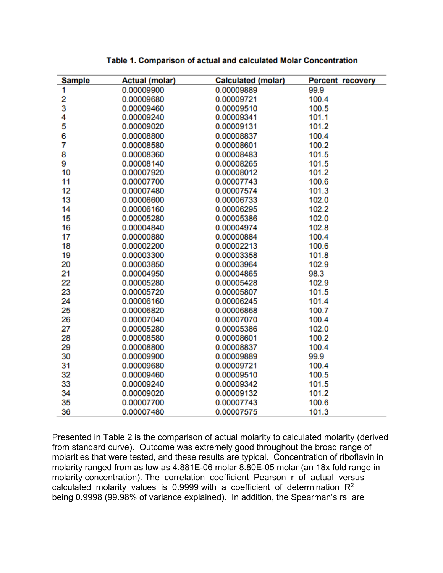| <b>Sample</b> | <b>Actual (molar)</b> | <b>Calculated (molar)</b> | <b>Percent recovery</b> |
|---------------|-----------------------|---------------------------|-------------------------|
| 1             | 0.00009900            | 0.00009889                | 99.9                    |
| 2             | 0.00009680            | 0.00009721                | 100.4                   |
| $\frac{3}{4}$ | 0.00009460            | 0.00009510                | 100.5                   |
|               | 0.00009240            | 0.00009341                | 101.1                   |
| 5             | 0.00009020            | 0.00009131                | 101.2                   |
| 6             | 0.00008800            | 0.00008837                | 100.4                   |
| 7             | 0.00008580            | 0.00008601                | 100.2                   |
| 8             | 0.00008360            | 0.00008483                | 101.5                   |
| 9             | 0.00008140            | 0.00008265                | 101.5                   |
| 10            | 0.00007920            | 0.00008012                | 101.2                   |
| 11            | 0.00007700            | 0.00007743                | 100.6                   |
| 12            | 0.00007480            | 0.00007574                | 101.3                   |
| 13            | 0.00006600            | 0.00006733                | 102.0                   |
| 14            | 0.00006160            | 0.00006295                | 102.2                   |
| 15            | 0.00005280            | 0.00005386                | 102.0                   |
| 16            | 0.00004840            | 0.00004974                | 102.8                   |
| 17            | 0.00000880            | 0.00000884                | 100.4                   |
| 18            | 0.00002200            | 0.00002213                | 100.6                   |
| 19            | 0.00003300            | 0.00003358                | 101.8                   |
| 20            | 0.00003850            | 0.00003964                | 102.9                   |
| 21            | 0.00004950            | 0.00004865                | 98.3                    |
| 22            | 0.00005280            | 0.00005428                | 102.9                   |
| 23            | 0.00005720            | 0.00005807                | 101.5                   |
| 24            | 0.00006160            | 0.00006245                | 101.4                   |
| 25            | 0.00006820            | 0.00006868                | 100.7                   |
| 26            | 0.00007040            | 0.00007070                | 100.4                   |
| 27            | 0.00005280            | 0.00005386                | 102.0                   |
| 28            | 0.00008580            | 0.00008601                | 100.2                   |
| 29            | 0.00008800            | 0.00008837                | 100.4                   |
| 30            | 0.00009900            | 0.00009889                | 99.9                    |
| 31            | 0.00009680            | 0.00009721                | 100.4                   |
| 32            | 0.00009460            | 0.00009510                | 100.5                   |
| 33            | 0.00009240            | 0.00009342                | 101.5                   |
| 34            | 0.00009020            | 0.00009132                | 101.2                   |
| 35            | 0.00007700            | 0.00007743                | 100.6                   |
| 36            | 0.00007480            | 0.00007575                | 101.3                   |

#### Table 1. Comparison of actual and calculated Molar Concentration

Presented in Table 2 is the comparison of actual molarity to calculated molarity (derived from standard curve). Outcome was extremely good throughout the broad range of molarities that were tested, and these results are typical. Concentration of riboflavin in molarity ranged from as low as 4.881E-06 molar 8.80E-05 molar (an 18x fold range in molarity concentration). The correlation coefficient Pearson r of actual versus calculated molarity values is 0.9999 with a coefficient of determination  $R^2$ being 0.9998 (99.98% of variance explained). In addition, the Spearman's rs are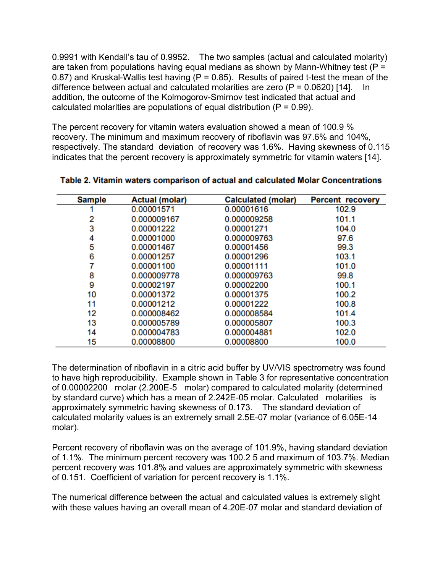0.9991 with Kendall's tau of 0.9952. The two samples (actual and calculated molarity) are taken from populations having equal medians as shown by Mann-Whitney test ( $P =$ 0.87) and Kruskal-Wallis test having  $(P = 0.85)$ . Results of paired t-test the mean of the difference between actual and calculated molarities are zero  $(P = 0.0620)$  [14]. In addition, the outcome of the Kolmogorov-Smirnov test indicated that actual and calculated molarities are populations of equal distribution ( $P = 0.99$ ).

The percent recovery for vitamin waters evaluation showed a mean of 100.9 % recovery. The minimum and maximum recovery of riboflavin was 97.6% and 104%, respectively. The standard deviation of recovery was 1.6%. Having skewness of 0.115 indicates that the percent recovery is approximately symmetric for vitamin waters [14].

| <b>Sample</b> | <b>Actual (molar)</b> | <b>Calculated (molar)</b> | <b>Percent recovery</b> |
|---------------|-----------------------|---------------------------|-------------------------|
|               | 0.00001571            | 0.00001616                | 102.9                   |
| 2             | 0.000009167           | 0.000009258               | 101.1                   |
| 3             | 0.00001222            | 0.00001271                | 104.0                   |
| 4             | 0.00001000            | 0.000009763               | 97.6                    |
| 5             | 0.00001467            | 0.00001456                | 99.3                    |
| 6             | 0.00001257            | 0.00001296                | 103.1                   |
| 7             | 0.00001100            | 0.00001111                | 101.0                   |
| 8             | 0.000009778           | 0.000009763               | 99.8                    |
| 9             | 0.00002197            | 0.00002200                | 100.1                   |
| 10            | 0.00001372            | 0.00001375                | 100.2                   |
| 11            | 0.00001212            | 0.00001222                | 100.8                   |
| 12            | 0.000008462           | 0.000008584               | 101.4                   |
| 13            | 0.000005789           | 0.000005807               | 100.3                   |
| 14            | 0.000004783           | 0.000004881               | 102.0                   |
| 15            | 0.00008800            | 0.00008800                | 100.0                   |

Table 2. Vitamin waters comparison of actual and calculated Molar Concentrations

The determination of riboflavin in a citric acid buffer by UV/VIS spectrometry was found to have high reproducibility. Example shown in Table 3 for representative concentration of 0.00002200 molar (2.200E-5 molar) compared to calculated molarity (determined by standard curve) which has a mean of 2.242E-05 molar. Calculated molarities is approximately symmetric having skewness of 0.173. The standard deviation of calculated molarity values is an extremely small 2.5E-07 molar (variance of 6.05E-14 molar).

Percent recovery of riboflavin was on the average of 101.9%, having standard deviation of 1.1%. The minimum percent recovery was 100.2 5 and maximum of 103.7%. Median percent recovery was 101.8% and values are approximately symmetric with skewness of 0.151. Coefficient of variation for percent recovery is 1.1%.

The numerical difference between the actual and calculated values is extremely slight with these values having an overall mean of 4.20E-07 molar and standard deviation of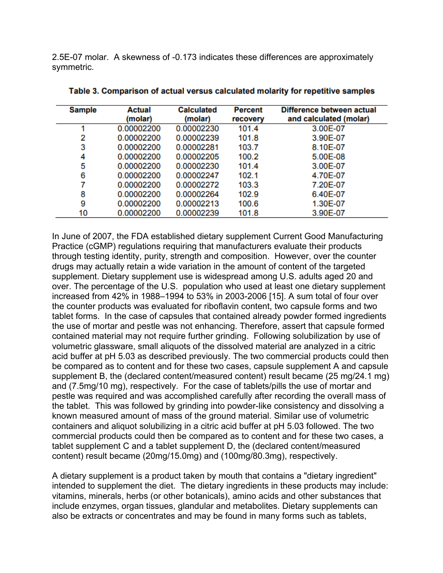2.5E-07 molar. A skewness of -0.173 indicates these differences are approximately symmetric.

| <b>Sample</b> | Actual<br>(molar) | <b>Calculated</b><br>(molar) | <b>Percent</b><br>recovery | Difference between actual<br>and calculated (molar) |
|---------------|-------------------|------------------------------|----------------------------|-----------------------------------------------------|
|               | 0.00002200        | 0.00002230                   | 101.4                      | 3.00E-07                                            |
| 2             | 0.00002200        | 0.00002239                   | 101.8                      | 3.90E-07                                            |
| 3             | 0.00002200        | 0.00002281                   | 103.7                      | 8.10E-07                                            |
| 4             | 0.00002200        | 0.00002205                   | 100.2                      | 5.00E-08                                            |
| 5             | 0.00002200        | 0.00002230                   | 101.4                      | 3.00E-07                                            |
| 6             | 0.00002200        | 0.00002247                   | 102.1                      | 4.70E-07                                            |
| 7             | 0.00002200        | 0.00002272                   | 103.3                      | 7.20E-07                                            |
| 8             | 0.00002200        | 0.00002264                   | 102.9                      | 6.40E-07                                            |
| 9             | 0.00002200        | 0.00002213                   | 100.6                      | 1.30E-07                                            |
| 10            | 0.00002200        | 0.00002239                   | 101.8                      | 3.90E-07                                            |

Table 3. Comparison of actual versus calculated molarity for repetitive samples

In June of 2007, the FDA established dietary supplement Current Good Manufacturing Practice (cGMP) regulations requiring that manufacturers evaluate their products through testing identity, purity, strength and composition. However, over the counter drugs may actually retain a wide variation in the amount of content of the targeted supplement. Dietary supplement use is widespread among U.S. adults aged 20 and over. The percentage of the U.S. population who used at least one dietary supplement increased from 42% in 1988–1994 to 53% in 2003-2006 [15]. A sum total of four over the counter products was evaluated for riboflavin content, two capsule forms and two tablet forms. In the case of capsules that contained already powder formed ingredients the use of mortar and pestle was not enhancing. Therefore, assert that capsule formed contained material may not require further grinding. Following solubilization by use of volumetric glassware, small aliquots of the dissolved material are analyzed in a citric acid buffer at pH 5.03 as described previously. The two commercial products could then be compared as to content and for these two cases, capsule supplement A and capsule supplement B, the (declared content/measured content) result became (25 mg/24.1 mg) and (7.5mg/10 mg), respectively. For the case of tablets/pills the use of mortar and pestle was required and was accomplished carefully after recording the overall mass of the tablet. This was followed by grinding into powder-like consistency and dissolving a known measured amount of mass of the ground material. Similar use of volumetric containers and aliquot solubilizing in a citric acid buffer at pH 5.03 followed. The two commercial products could then be compared as to content and for these two cases, a tablet supplement C and a tablet supplement D, the (declared content/measured content) result became (20mg/15.0mg) and (100mg/80.3mg), respectively.

A dietary supplement is a product taken by mouth that contains a "dietary ingredient" intended to supplement the diet. The dietary ingredients in these products may include: vitamins, minerals, herbs (or other botanicals), amino acids and other substances that include enzymes, organ tissues, glandular and metabolites. Dietary supplements can also be extracts or concentrates and may be found in many forms such as tablets,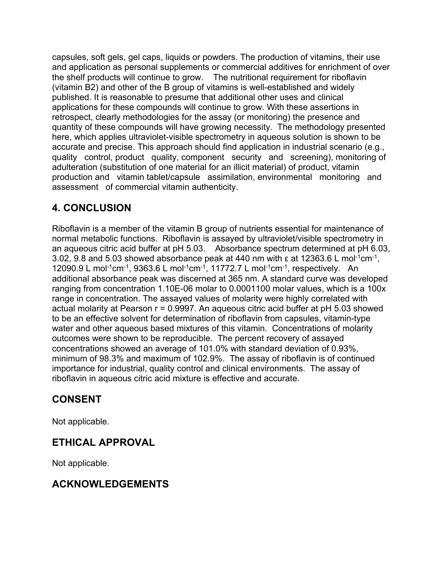capsules, soft gels, gel caps, liquids or powders. The production of vitamins, their use and application as personal supplements or commercial additives for enrichment of over the shelf products will continue to grow. The nutritional requirement for riboflavin (vitamin B2) and other of the B group of vitamins is well-established and widely published. It is reasonable to presume that additional other uses and clinical applications for these compounds will continue to grow. With these assertions in retrospect, clearly methodologies for the assay (or monitoring) the presence and quantity of these compounds will have growing necessity. The methodology presented here, which applies ultraviolet-visible spectrometry in aqueous solution is shown to be accurate and precise. This approach should find application in industrial scenario (e.g., quality control, product quality, component security and screening), monitoring of adulteration (substitution of one material for an illicit material) of product, vitamin production and vitamin tablet/capsule assimilation, environmental monitoring and assessment of commercial vitamin authenticity.

## **4. CONCLUSION**

Riboflavin is a member of the vitamin B group of nutrients essential for maintenance of normal metabolic functions. Riboflavin is assayed by ultraviolet/visible spectrometry in an aqueous citric acid buffer at pH 5.03. Absorbance spectrum determined at pH 6.03, 3.02, 9.8 and 5.03 showed absorbance peak at 440 nm with  $\varepsilon$  at 12363.6 L mol<sup>-1</sup>cm<sup>-1</sup>, 12090.9 L mol<sup>-1</sup>cm<sup>-1</sup>, 9363.6 L mol<sup>-1</sup>cm<sup>-1</sup>, 11772.7 L mol<sup>-1</sup>cm<sup>-1</sup>, respectively. An additional absorbance peak was discerned at 365 nm. A standard curve was developed ranging from concentration 1.10E-06 molar to 0.0001100 molar values, which is a 100x range in concentration. The assayed values of molarity were highly correlated with actual molarity at Pearson  $r = 0.9997$ . An aqueous citric acid buffer at  $pH 5.03$  showed to be an effective solvent for determination of riboflavin from capsules, vitamin-type water and other aqueous based mixtures of this vitamin. Concentrations of molarity outcomes were shown to be reproducible. The percent recovery of assayed concentrations showed an average of 101.0% with standard deviation of 0.93%, minimum of 98.3% and maximum of 102.9%. The assay of riboflavin is of continued importance for industrial, quality control and clinical environments. The assay of riboflavin in aqueous citric acid mixture is effective and accurate.

## **CONSENT**

Not applicable.

## **ETHICAL APPROVAL**

Not applicable.

## **ACKNOWLEDGEMENTS**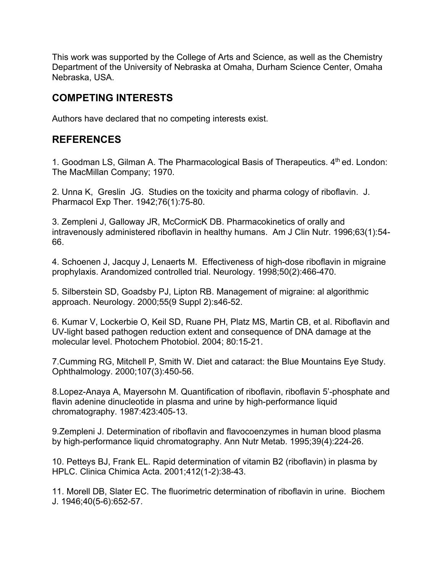This work was supported by the College of Arts and Science, as well as the Chemistry Department of the University of Nebraska at Omaha, Durham Science Center, Omaha Nebraska, USA.

## **COMPETING INTERESTS**

Authors have declared that no competing interests exist.

## **REFERENCES**

1. Goodman LS, Gilman A. The Pharmacological Basis of Therapeutics. 4<sup>th</sup> ed. London: The MacMillan Company; 1970.

2. Unna K, Greslin JG. Studies on the toxicity and pharma cology of riboflavin. J. Pharmacol Exp Ther. 1942;76(1):75-80.

3. Zempleni J, Galloway JR, McCormicK DB. Pharmacokinetics of orally and intravenously administered riboflavin in healthy humans. Am J Clin Nutr. 1996;63(1):54- 66.

4. Schoenen J, Jacquy J, Lenaerts M. Effectiveness of high-dose riboflavin in migraine prophylaxis. Arandomized controlled trial. Neurology. 1998;50(2):466-470.

5. Silberstein SD, Goadsby PJ, Lipton RB. Management of migraine: al algorithmic approach. Neurology. 2000;55(9 Suppl 2):s46-52.

6. Kumar V, Lockerbie O, Keil SD, Ruane PH, Platz MS, Martin CB, et al. Riboflavin and UV-light based pathogen reduction extent and consequence of DNA damage at the molecular level. Photochem Photobiol. 2004; 80:15-21.

7.Cumming RG, Mitchell P, Smith W. Diet and cataract: the Blue Mountains Eye Study. Ophthalmology. 2000;107(3):450-56.

8.Lopez-Anaya A, Mayersohn M. Quantification of riboflavin, riboflavin 5'-phosphate and flavin adenine dinucleotide in plasma and urine by high-performance liquid chromatography. 1987:423:405-13.

9.Zempleni J. Determination of riboflavin and flavocoenzymes in human blood plasma by high-performance liquid chromatography. Ann Nutr Metab. 1995;39(4):224-26.

10. Petteys BJ, Frank EL. Rapid determination of vitamin B2 (riboflavin) in plasma by HPLC. Clinica Chimica Acta. 2001;412(1-2):38-43.

11. Morell DB, Slater EC. The fluorimetric determination of riboflavin in urine. Biochem J. 1946;40(5-6):652-57.